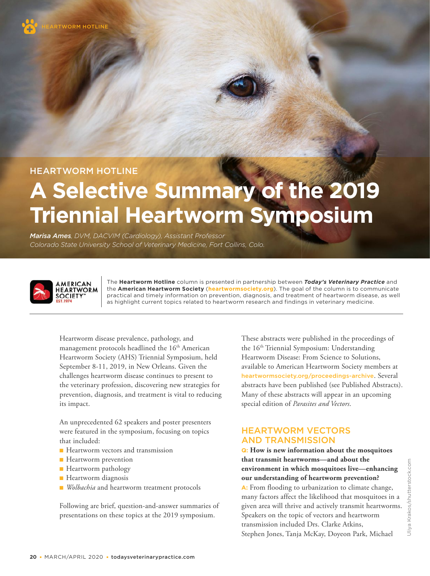HEARTWORM HOTLINE

# **A Selective Summary of the 2019 Triennial Heartworm Symposium**

*Marisa Ames, DVM, DACVIM (Cardiology), Assistant Professor Colorado State University School of Veterinary Medicine, Fort Collins, Colo.*



The **Heartworm Hotline** column is presented in partnership between *Today's Veterinary Practice* and the **American Heartworm Society** (**heartwormsociety.org**). The goal of the column is to communicate practical and timely information on prevention, diagnosis, and treatment of heartworm disease, as well as highlight current topics related to heartworm research and findings in veterinary medicine.

Heartworm disease prevalence, pathology, and management protocols headlined the 16<sup>th</sup> American Heartworm Society (AHS) Triennial Symposium, held September 8-11, 2019, in New Orleans. Given the challenges heartworm disease continues to present to the veterinary profession, discovering new strategies for prevention, diagnosis, and treatment is vital to reducing its impact.

An unprecedented 62 speakers and poster presenters were featured in the symposium, focusing on topics that included:

- Heartworm vectors and transmission
- Heartworm prevention
- Heartworm pathology
- Heartworm diagnosis
- *Wolbachia* and heartworm treatment protocols

Following are brief, question-and-answer summaries of presentations on these topics at the 2019 symposium.

These abstracts were published in the proceedings of the 16th Triennial Symposium: Understanding Heartworm Disease: From Science to Solutions, available to American Heartworm Society members at heartwormsociety.org/proceedings-archive. Several abstracts have been published (see Published Abstracts). Many of these abstracts will appear in an upcoming special edition of *Parasites and Vectors* .

# HEARTWORM VECTORS AND TRANSMISSION

**Q: How is new information about the mosquitoes that transmit heartworms—and about the environment in which mosquitoes live—enhancing our understanding of heartworm prevention? A:** From flooding to urbanization to climate change, many factors affect the likelihood that mosquitoes in a given area will thrive and actively transmit heartworms. Speakers on the topic of vectors and heartworm transmission included Drs. Clarke Atkins, Stephen Jones, Tanja McKay, Doyeon Park, Michael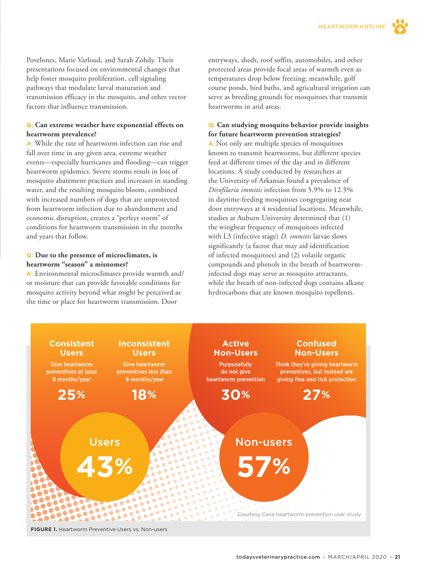Povelones, Marie Varloud, and Sarah Zohdy. Their presentations focused on environmental changes that help foster mosquito proliferation, cell signaling pathways that modulate larval maturation and transmission efficacy in the mosquito, and other vector factors that influence transmission.

#### **Q: Can extreme weather have exponential effects on heartworm prevalence?**

**A:** While the rate of heartworm infection can rise and fall over time in any given area, extreme weather events—especially hurricanes and flooding—can trigger heartworm epidemics. Severe storms result in loss of mosquito abatement practices and increases in standing water, and the resulting mosquito bloom, combined with increased numbers of dogs that are unprotected from heartworm infection due to abandonment and economic disruption, creates a "perfect storm" of conditions for heartworm transmission in the months and years that follow.

#### **Q: Due to the presence of microclimates, is heartworm "season" a misnomer?**

**A:** Environmental microclimates provide warmth and/ or moisture that can provide favorable conditions for mosquito activity beyond what might be perceived as the time or place for heartworm transmission. Door

entryways, sheds, roof soffits, automobiles, and other protected areas provide focal areas of warmth even as temperatures drop below freezing; meanwhile, golf course ponds, bird baths, and agricultural irrigation can serve as breeding grounds for mosquitoes that transmit heartworms in arid areas.

#### **Q: Can studying mosquito behavior provide insights for future heartworm prevention strategies?**

**A:** Not only are multiple species of mosquitoes known to transmit heartworms, but different species feed at different times of the day and in different locations. A study conducted by researchers at the University of Arkansas found a prevalence of *Dirofilaria immitis* infection from 5.9% to 12.5% in daytime-feeding mosquitoes congregating near door entryways at 4 residential locations. Meanwhile, studies at Auburn University determined that (1) the wingbeat frequency of mosquitoes infected with L3 (infective stage) *D. immitis* larvae slows significantly (a factor that may aid identification of infected mosquitoes) and (2) volatile organic compounds and phenols in the breath of heartworminfected dogs may serve as mosquito attractants, while the breath of non-infected dogs contains alkane hydrocarbons that are known mosquito repellents.

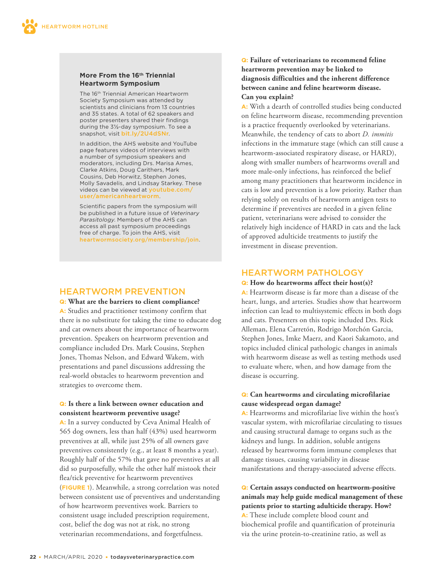#### **More From the 16th Triennial Heartworm Symposium**

The 16th Triennial American Heartworm Society Symposium was attended by scientists and clinicians from 13 countries and 35 states. A total of 62 speakers and poster presenters shared their findings during the 3½-day symposium. To see a snapshot, visit bit.ly/2U4dSNr.

In addition, the AHS website and YouTube page features videos of interviews with a number of symposium speakers and moderators, including Drs. Marisa Ames, Clarke Atkins, Doug Carithers, Mark Cousins, Deb Horwitz, Stephen Jones, Molly Savadelis, and Lindsay Starkey. These videos can be viewed at youtube.com/ user/americanheartworm.

Scientific papers from the symposium will be published in a future issue of *Veterinary Parasitology*. Members of the AHS can access all past symposium proceedings free of charge. To join the AHS, visit heartwormsociety.org/membership/join.

## HEARTWORM PREVENTION

#### **Q: What are the barriers to client compliance?**

**A:** Studies and practitioner testimony confirm that there is no substitute for taking the time to educate dog and cat owners about the importance of heartworm prevention. Speakers on heartworm prevention and compliance included Drs. Mark Cousins, Stephen Jones, Thomas Nelson, and Edward Wakem, with presentations and panel discussions addressing the real-world obstacles to heartworm prevention and strategies to overcome them.

#### **Q: Is there a link between owner education and consistent heartworm preventive usage?**

**A:** In a survey conducted by Ceva Animal Health of 565 dog owners, less than half (43%) used heartworm preventives at all, while just 25% of all owners gave preventives consistently (e.g., at least 8 months a year). Roughly half of the 57% that gave no preventives at all did so purposefully, while the other half mistook their flea/tick preventive for heartworm preventives (**FIGURE 1**). Meanwhile, a strong correlation was noted between consistent use of preventives and understanding of how heartworm preventives work. Barriers to consistent usage included prescription requirement, cost, belief the dog was not at risk, no strong veterinarian recommendations, and forgetfulness.

#### **Q: Failure of veterinarians to recommend feline heartworm prevention may be linked to diagnosis difficulties and the inherent difference between canine and feline heartworm disease. Can you explain?**

**A:** With a dearth of controlled studies being conducted on feline heartworm disease, recommending prevention is a practice frequently overlooked by veterinarians. Meanwhile, the tendency of cats to abort *D. immitis* infections in the immature stage (which can still cause a heartworm-associated respiratory disease, or HARD), along with smaller numbers of heartworms overall and more male-only infections, has reinforced the belief among many practitioners that heartworm incidence in cats is low and prevention is a low priority. Rather than relying solely on results of heartworm antigen tests to determine if preventives are needed in a given feline patient, veterinarians were advised to consider the relatively high incidence of HARD in cats and the lack of approved adulticide treatments to justify the investment in disease prevention.

# HEARTWORM PATHOLOGY

#### **Q: How do heartworms affect their host(s)?**

**A:** Heartworm disease is far more than a disease of the heart, lungs, and arteries. Studies show that heartworm infection can lead to multisystemic effects in both dogs and cats. Presenters on this topic included Drs. Rick Alleman, Elena Carretón, Rodrigo Morchón Garcia, Stephen Jones, Imke Maerz, and Kaori Sakamoto, and topics included clinical pathologic changes in animals with heartworm disease as well as testing methods used to evaluate where, when, and how damage from the disease is occurring.

#### **Q: Can heartworms and circulating microfilariae cause widespread organ damage?**

**A:** Heartworms and microfilariae live within the host's vascular system, with microfilariae circulating to tissues and causing structural damage to organs such as the kidneys and lungs. In addition, soluble antigens released by heartworms form immune complexes that damage tissues, causing variability in disease manifestations and therapy-associated adverse effects.

**Q: Certain assays conducted on heartworm-positive animals may help guide medical management of these patients prior to starting adulticide therapy. How? A:** These include complete blood count and biochemical profile and quantification of proteinuria via the urine protein-to-creatinine ratio, as well as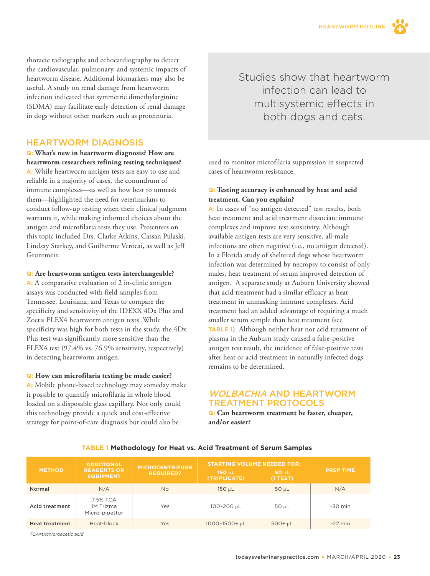thoracic radiographs and echocardiography to detect the cardiovascular, pulmonary, and systemic impacts of heartworm disease. Additional biomarkers may also be useful. A study on renal damage from heartworm infection indicated that symmetric dimethylarginine (SDMA) may facilitate early detection of renal damage in dogs without other markers such as proteinuria.

### HEARTWORM DIAGNOSIS

**Q: What's new in heartworm diagnosis? How are heartworm researchers refining testing techniques? A:** While heartworm antigen tests are easy to use and reliable in a majority of cases, the conundrum of immune complexes—as well as how best to unmask them—highlighted the need for veterinarians to conduct follow-up testing when their clinical judgment warrants it, while making informed choices about the antigen and microfilaria tests they use. Presenters on this topic included Drs. Clarke Atkins, Cassan Pulaski, Lindsay Starkey, and Guilherme Verocai, as well as Jeff Gruntmeir.

#### **Q: Are heartworm antigen tests interchangeable?**

**A:** A comparative evaluation of 2 in-clinic antigen assays was conducted with field samples from Tennessee, Louisiana, and Texas to compare the specificity and sensitivity of the IDEXX 4Dx Plus and Zoetis FLEX4 heartworm antigen tests. While specificity was high for both tests in the study, the 4Dx Plus test was significantly more sensitive than the FLEX4 test (97.4% vs. 76.9% sensitivity, respectively) in detecting heartworm antigen.

#### **Q: How can microfilaria testing be made easier?**

**A:** Mobile phone-based technology may someday make it possible to quantify microfilaria in whole blood loaded on a disposable glass capillary. Not only could this technology provide a quick and cost-effective strategy for point-of-care diagnosis but could also be

Studies show that heartworm infection can lead to multisystemic effects in both dogs and cats.

used to monitor microfilaria suppression in suspected cases of heartworm resistance.

#### **Q: Testing accuracy is enhanced by heat and acid treatment. Can you explain?**

**A:** In cases of "no antigen detected" test results, both heat treatment and acid treatment dissociate immune complexes and improve test sensitivity. Although available antigen tests are very sensitive, all-male infections are often negative (i.e., no antigen detected). In a Florida study of sheltered dogs whose heartworm infection was determined by necropsy to consist of only males, heat treatment of serum improved detection of antigen.A separate study at Auburn University showed that acid treatment had a similar efficacy as heat treatment in unmasking immune complexes. Acid treatment had an added advantage of requiring a much smaller serum sample than heat treatment (see **TABLE 1**). Although neither heat nor acid treatment of plasma in the Auburn study caused a false-positive antigen test result, the incidence of false-positive tests after heat or acid treatment in naturally infected dogs remains to be determined.

# WOLBACHIA AND HEARTWORM TREATMENT PROTOCOLS

**Q: Can heartworm treatment be faster, cheaper, and/or easier?**

| <b>METHOD</b>         | <b>ADDITIONAL</b><br><b>REAGENTS OR</b><br><b>EQUIPMENT</b> | <b>MICROCENTRIFUGE</b><br><b>REQUIRED?</b> | <b>STARTING VOLUME NEEDED FOR:</b><br>$150 \mu L$<br>(TRIPLICATE) | $50 \mu L$<br>$(1$ TEST $)$ | <b>PREP TIME</b> |
|-----------------------|-------------------------------------------------------------|--------------------------------------------|-------------------------------------------------------------------|-----------------------------|------------------|
| Normal                | N/A                                                         | <b>No</b>                                  | 150 µL                                                            | $50 \mu L$                  | N/A              |
| <b>Acid treatment</b> | 7.5% TCA<br>1M Trizma<br>Micro-pipettor                     | Yes                                        | 100-200 µL                                                        | 50 µL                       | $-30$ min        |
| <b>Heat treatment</b> | Heat-block                                                  | Yes                                        | 1000-1500+ µL                                                     | $500+µL$                    | $-22$ min        |

#### **TABLE 1 Methodology for Heat vs. Acid Treatment of Serum Samples**

*TCA=trichloroacetic acid*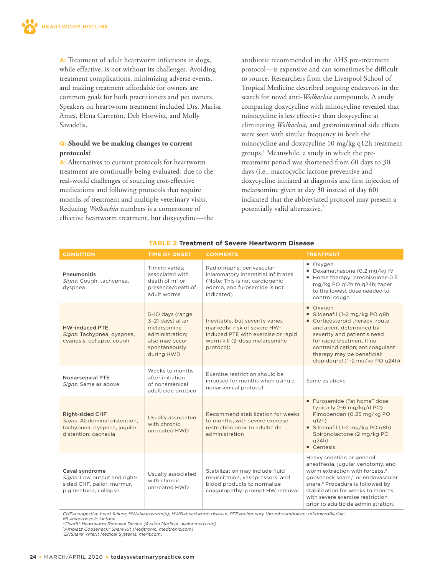**A:** Treatment of adult heartworm infections in dogs, while effective, is not without its challenges. Avoiding treatment complications, minimizing adverse events, and making treatment affordable for owners are common goals for both practitioners and pet owners. Speakers on heartworm treatment included Drs. Marisa Ames, Elena Carretón, Deb Horwitz, and Molly Savadelis.

#### **Q: Should we be making changes to current protocols?**

**A:** Alternatives to current protocols for heartworm treatment are continually being evaluated, due to the real-world challenges of sourcing cost-effective medications and following protocols that require months of treatment and multiple veterinary visits. Reducing *Wolbachia* numbers is a cornerstone of effective heartworm treatment, but doxycycline—the antibiotic recommended in the AHS pre-treatment protocol—is expensive and can sometimes be difficult to source. Researchers from the Liverpool School of Tropical Medicine described ongoing endeavors in the search for novel anti-*Wolbachia* compounds. A study comparing doxycycline with minocycline revealed that minocycline is less effective than doxycycline at eliminating *Wolbachia*, and gastrointestinal side effects were seen with similar frequency in both the minocycline and doxycycline 10 mg/kg q12h treatment groups.1 Meanwhile, a study in which the pretreatment period was shortened from 60 days to 30 days (i.e., macrocyclic lactone preventive and doxycycline initiated at diagnosis and first injection of melarsomine given at day 30 instead of day 60) indicated that the abbreviated protocol may present a potentially valid alternative.<sup>2</sup>

| <b>CONDITION</b>                                                                                              | <b>TIME OF ONSET</b>                                                                                                     | <b>COMMENTS</b>                                                                                                                                     | <b>TREATMENT</b>                                                                                                                                                                                                                                                                                                               |
|---------------------------------------------------------------------------------------------------------------|--------------------------------------------------------------------------------------------------------------------------|-----------------------------------------------------------------------------------------------------------------------------------------------------|--------------------------------------------------------------------------------------------------------------------------------------------------------------------------------------------------------------------------------------------------------------------------------------------------------------------------------|
| Pneumonitis<br>Signs: Cough, tachypnea,<br>dyspnea                                                            | Timing varies;<br>associated with<br>death of mf or<br>presence/death of<br>adult worms                                  | Radiographs: perivascular<br>inlammatory interstitial infiltrates<br>(Note: This is not cardiogenic<br>edema, and furosemide is not<br>indicated)   | ■ Oxygen<br>Dexamethasone (0.2 mg/kg IV<br>Home therapy: prednisolone 0.5<br>mg/kg PO g12h to g24h; taper<br>to the lowest dose needed to<br>control cough                                                                                                                                                                     |
| <b>HW-induced PTE</b><br>Signs: Tachypnea, dyspnea,<br>cyanosis, collapse, cough                              | 5-IO days (range,<br>3-21 days) after<br>melarsomine<br>administration:<br>also may occur<br>spontaneously<br>during HWD | Inevitable, but severity varies<br>markedly; risk of severe HW-<br>induced PTE with exercise or rapid<br>worm kill (2-dose melarsomine<br>protocol) | ■ Oxygen<br>Sildenafil (1-2 mg/kg PO g8h<br>Corticosteroid therapy, route,<br>and agent determined by<br>severity and patient's need<br>for rapid treatment If no<br>contraindication; anticoagulant<br>therapy may be beneficial:<br>clopidogrel (1-2 mg/kg PO q24h)                                                          |
| <b>Nonarsenical PTE</b><br>Signs: Same as above                                                               | Weeks to months<br>after initiation<br>of nonarsenical<br>adulticide protocol                                            | Exercise restriction should be<br>imposed for months when using a<br>nonarsenical protocol                                                          | Same as above                                                                                                                                                                                                                                                                                                                  |
| <b>Right-sided CHF</b><br>Signs: Abdominal distention,<br>tachypnea, dyspnea, jugular<br>distention, cachexia | Usually associated<br>with chronic.<br>untreated HWD                                                                     | Recommend stabilization for weeks<br>to months, with severe exercise<br>restriction prior to adulticide<br>administration                           | ■ Furosemide ("at home" dose<br>typically 2-6 mg/kg/d PO)<br>Pimobendan (0.25 mg/kg PO<br>q12h)<br>Sildenafil (1-2 mg/kg PO g8h)<br>Spironolactone (2 mg/kg PO<br>q24h)<br>Centesis                                                                                                                                            |
| Caval syndrome<br>Signs: Low output and right-<br>sided CHF, pallor, murmur,<br>pigmenturia, collapse         | Usually associated<br>with chronic.<br>untreated HWD                                                                     | Stabilization may include fluid<br>resuscitation, vasopressors, and<br>blood products to normalize<br>coagulopathy; prompt HW removal               | Heavy sedation or general<br>anesthesia, jugular venotomy, and<br>worm extraction with forceps. <sup>a</sup><br>gooseneck snare, <sup>b</sup> or endovascular<br>snare. <sup>c</sup> Procedure is followed by<br>stabilization for weeks to months,<br>with severe exercise restriction<br>prior to adulticide administration. |

#### **TABLE 2 Treatment of Severe Heartworm Disease**

*CHF=congestive heart failure; HW=heartworm(s); HWD=heartworm disease; PTE=pulmonary thromboembolism; mf=microfilariae; ML=macrocyclic lactone* 

*aClearlt® Heartworm Removal Device (Avalon Medical, avalonmed.com)* 

*bAmplatz Gooseneck® Snare Kit (Medtronic, medtronic.com) c ENSnare® (Merit Medical Systems, merit.com)*